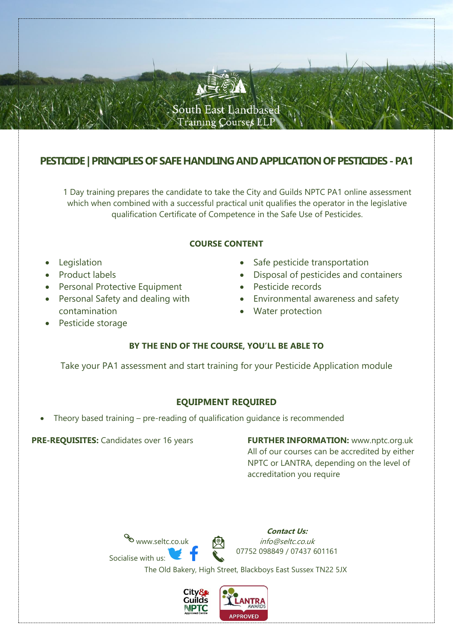

# **PESTICIDE | PRINCIPLES OF SAFE HANDLING AND APPLICATION OF PESTICIDES -PA1**

1 Day training prepares the candidate to take the City and Guilds NPTC PA1 online assessment which when combined with a successful practical unit qualifies the operator in the legislative qualification Certificate of Competence in the Safe Use of Pesticides.

#### **COURSE CONTENT**

- **Legislation**
- Product labels
- Personal Protective Equipment
- Personal Safety and dealing with contamination
- Safe pesticide transportation
- Disposal of pesticides and containers
- Pesticide records
- Environmental awareness and safety
- Water protection

Pesticide storage

## **BY THE END OF THE COURSE, YOU'LL BE ABLE TO**

Take your PA1 assessment and start training for your Pesticide Application module

#### **EQUIPMENT REQUIRED**

• Theory based training – pre-reading of qualification guidance is recommended

**PRE-REQUISITES:** Candidates over 16 years **FURTHER INFORMATION:** [www.nptc.org.uk](http://www.nptc.org.uk/) All of our courses can be accredited by either NPTC or LANTRA, depending on the level of accreditation you require